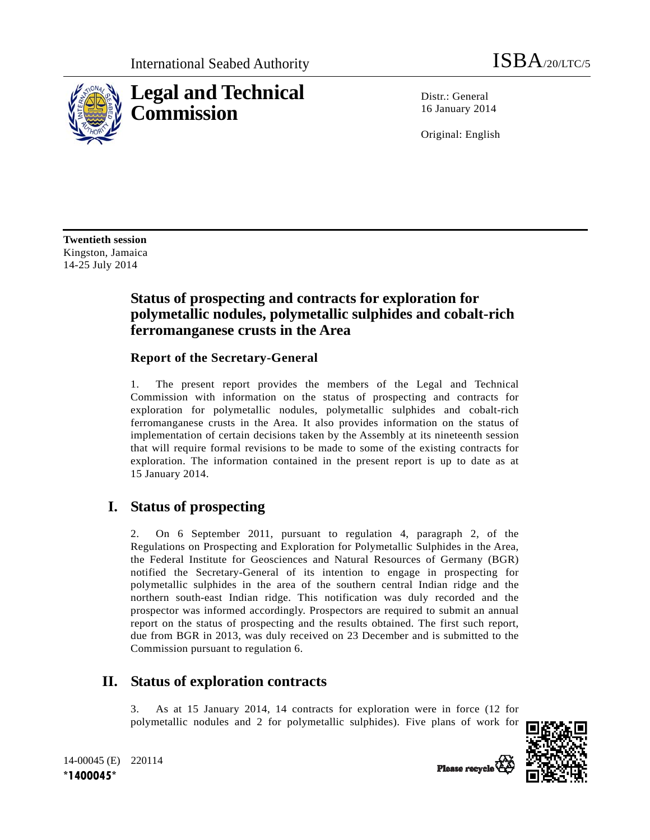

Distr · General 16 January 2014

Original: English

**Twentieth session**  Kingston, Jamaica 14-25 July 2014

## **Status of prospecting and contracts for exploration for polymetallic nodules, polymetallic sulphides and cobalt-rich ferromanganese crusts in the Area**

#### **Report of the Secretary-General**

1. The present report provides the members of the Legal and Technical Commission with information on the status of prospecting and contracts for exploration for polymetallic nodules, polymetallic sulphides and cobalt-rich ferromanganese crusts in the Area. It also provides information on the status of implementation of certain decisions taken by the Assembly at its nineteenth session that will require formal revisions to be made to some of the existing contracts for exploration. The information contained in the present report is up to date as at 15 January 2014.

# **I. Status of prospecting**

2. On 6 September 2011, pursuant to regulation 4, paragraph 2, of the Regulations on Prospecting and Exploration for Polymetallic Sulphides in the Area, the Federal Institute for Geosciences and Natural Resources of Germany (BGR) notified the Secretary-General of its intention to engage in prospecting for polymetallic sulphides in the area of the southern central Indian ridge and the northern south-east Indian ridge. This notification was duly recorded and the prospector was informed accordingly. Prospectors are required to submit an annual report on the status of prospecting and the results obtained. The first such report, due from BGR in 2013, was duly received on 23 December and is submitted to the Commission pursuant to regulation 6.

# **II. Status of exploration contracts**

3. As at 15 January 2014, 14 contracts for exploration were in force (12 for polymetallic nodules and 2 for polymetallic sulphides). Five plans of work for



14-00045 (E) 220114 **\*1400045\*** 

Please recycle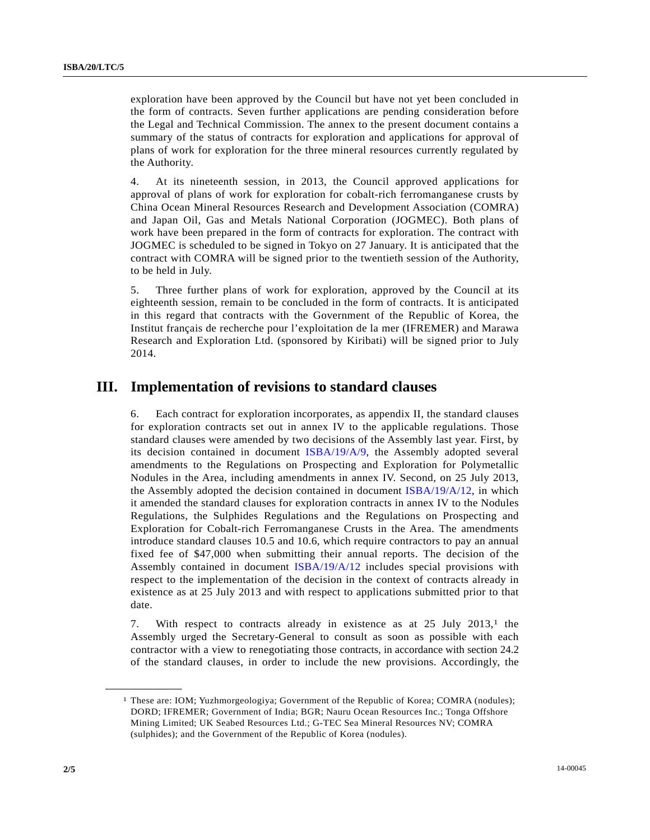exploration have been approved by the Council but have not yet been concluded in the form of contracts. Seven further applications are pending consideration before the Legal and Technical Commission. The annex to the present document contains a summary of the status of contracts for exploration and applications for approval of plans of work for exploration for the three mineral resources currently regulated by the Authority.

4. At its nineteenth session, in 2013, the Council approved applications for approval of plans of work for exploration for cobalt-rich ferromanganese crusts by China Ocean Mineral Resources Research and Development Association (COMRA) and Japan Oil, Gas and Metals National Corporation (JOGMEC). Both plans of work have been prepared in the form of contracts for exploration. The contract with JOGMEC is scheduled to be signed in Tokyo on 27 January. It is anticipated that the contract with COMRA will be signed prior to the twentieth session of the Authority, to be held in July.

5. Three further plans of work for exploration, approved by the Council at its eighteenth session, remain to be concluded in the form of contracts. It is anticipated in this regard that contracts with the Government of the Republic of Korea, the Institut français de recherche pour l'exploitation de la mer (IFREMER) and Marawa Research and Exploration Ltd. (sponsored by Kiribati) will be signed prior to July 2014.

#### **III. Implementation of revisions to standard clauses**

6. Each contract for exploration incorporates, as appendix II, the standard clauses for exploration contracts set out in annex IV to the applicable regulations. Those standard clauses were amended by two decisions of the Assembly last year. First, by its decision contained in document ISBA/19/A/9, the Assembly adopted several amendments to the Regulations on Prospecting and Exploration for Polymetallic Nodules in the Area, including amendments in annex IV. Second, on 25 July 2013, the Assembly adopted the decision contained in document ISBA/19/A/12, in which it amended the standard clauses for exploration contracts in annex IV to the Nodules Regulations, the Sulphides Regulations and the Regulations on Prospecting and Exploration for Cobalt-rich Ferromanganese Crusts in the Area. The amendments introduce standard clauses 10.5 and 10.6, which require contractors to pay an annual fixed fee of \$47,000 when submitting their annual reports. The decision of the Assembly contained in document ISBA/19/A/12 includes special provisions with respect to the implementation of the decision in the context of contracts already in existence as at 25 July 2013 and with respect to applications submitted prior to that date.

7. With respect to contracts already in existence as at 25 July 2013,1 the Assembly urged the Secretary-General to consult as soon as possible with each contractor with a view to renegotiating those contracts, in accordance with section 24.2 of the standard clauses, in order to include the new provisions. Accordingly, the

**\_\_\_\_\_\_\_\_\_\_\_\_\_\_\_\_\_\_** 

<sup>1</sup> These are: IOM; Yuzhmorgeologiya; Government of the Republic of Korea; COMRA (nodules); DORD; IFREMER; Government of India; BGR; Nauru Ocean Resources Inc.; Tonga Offshore Mining Limited; UK Seabed Resources Ltd.; G-TEC Sea Mineral Resources NV; COMRA (sulphides); and the Government of the Republic of Korea (nodules).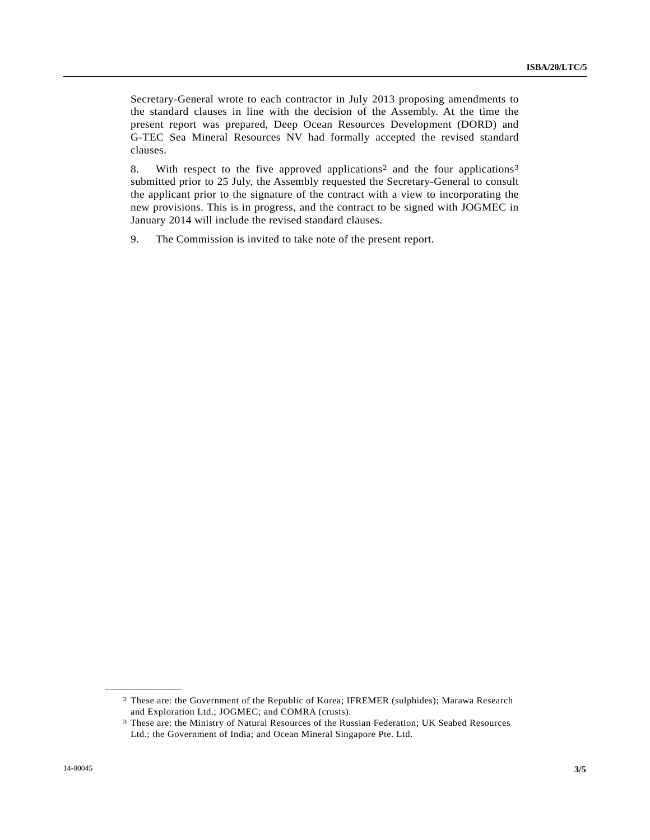Secretary-General wrote to each contractor in July 2013 proposing amendments to the standard clauses in line with the decision of the Assembly. At the time the present report was prepared, Deep Ocean Resources Development (DORD) and G-TEC Sea Mineral Resources NV had formally accepted the revised standard clauses.

8. With respect to the five approved applications<sup>2</sup> and the four applications<sup>3</sup> submitted prior to 25 July, the Assembly requested the Secretary-General to consult the applicant prior to the signature of the contract with a view to incorporating the new provisions. This is in progress, and the contract to be signed with JOGMEC in January 2014 will include the revised standard clauses.

9. The Commission is invited to take note of the present report.

**\_\_\_\_\_\_\_\_\_\_\_\_\_\_\_\_\_\_** 

<sup>2</sup> These are: the Government of the Republic of Korea; IFREMER (sulphides); Marawa Research and Exploration Ltd.; JOGMEC; and COMRA (crusts).<br><sup>3</sup> These are: the Ministry of Natural Resources of the Russian Federation; UK Seabed Resources

Ltd.; the Government of India; and Ocean Mineral Singapore Pte. Ltd.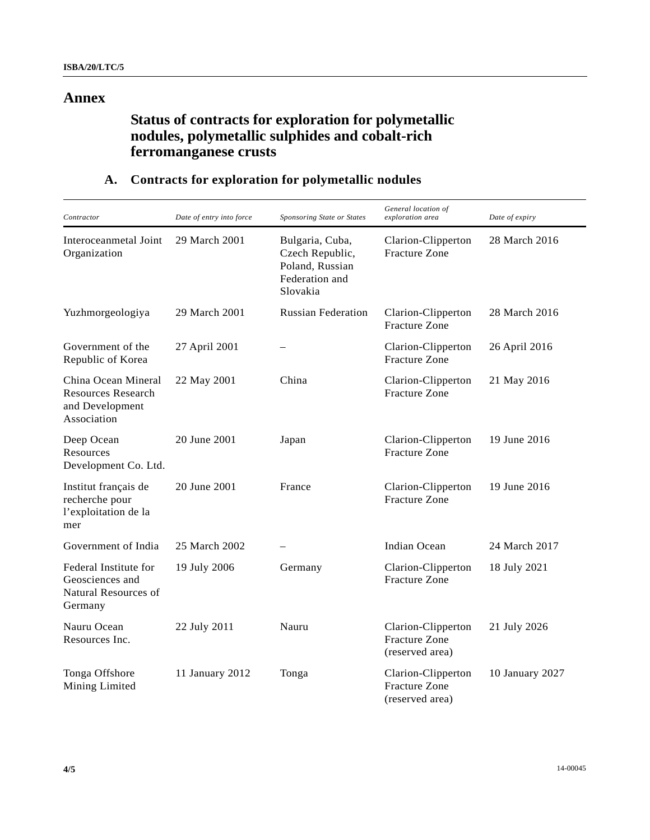#### **Annex**

# **Status of contracts for exploration for polymetallic nodules, polymetallic sulphides and cobalt-rich ferromanganese crusts**

| Contractor                                                                         | Date of entry into force | Sponsoring State or States                                                          | General location of<br>exploration area                       | Date of expiry  |
|------------------------------------------------------------------------------------|--------------------------|-------------------------------------------------------------------------------------|---------------------------------------------------------------|-----------------|
| Interoceanmetal Joint<br>Organization                                              | 29 March 2001            | Bulgaria, Cuba,<br>Czech Republic,<br>Poland, Russian<br>Federation and<br>Slovakia | Clarion-Clipperton<br>Fracture Zone                           | 28 March 2016   |
| Yuzhmorgeologiya                                                                   | 29 March 2001            | <b>Russian Federation</b>                                                           | Clarion-Clipperton<br><b>Fracture Zone</b>                    | 28 March 2016   |
| Government of the<br>Republic of Korea                                             | 27 April 2001            |                                                                                     | Clarion-Clipperton<br><b>Fracture Zone</b>                    | 26 April 2016   |
| China Ocean Mineral<br><b>Resources Research</b><br>and Development<br>Association | 22 May 2001              | China                                                                               | Clarion-Clipperton<br><b>Fracture Zone</b>                    | 21 May 2016     |
| Deep Ocean<br>Resources<br>Development Co. Ltd.                                    | 20 June 2001             | Japan                                                                               | Clarion-Clipperton<br><b>Fracture Zone</b>                    | 19 June 2016    |
| Institut français de<br>recherche pour<br>l'exploitation de la<br>mer              | 20 June 2001             | France                                                                              | Clarion-Clipperton<br><b>Fracture Zone</b>                    | 19 June 2016    |
| Government of India                                                                | 25 March 2002            |                                                                                     | Indian Ocean                                                  | 24 March 2017   |
| Federal Institute for<br>Geosciences and<br>Natural Resources of<br>Germany        | 19 July 2006             | Germany                                                                             | Clarion-Clipperton<br><b>Fracture Zone</b>                    | 18 July 2021    |
| Nauru Ocean<br>Resources Inc.                                                      | 22 July 2011             | Nauru                                                                               | Clarion-Clipperton<br><b>Fracture Zone</b><br>(reserved area) | 21 July 2026    |
| Tonga Offshore<br>Mining Limited                                                   | 11 January 2012          | Tonga                                                                               | Clarion-Clipperton<br><b>Fracture Zone</b><br>(reserved area) | 10 January 2027 |

### **A. Contracts for exploration for polymetallic nodules**